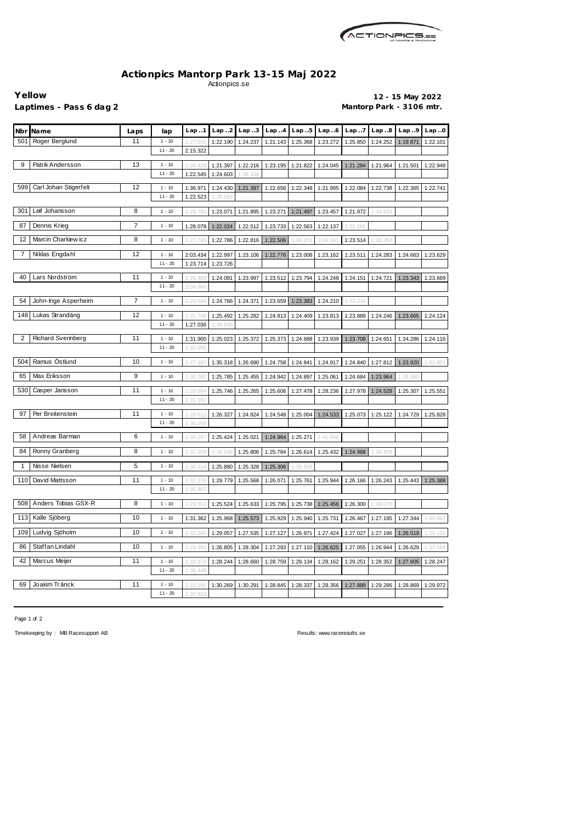

## **Actionpics Mantorp Park 13-15 Maj 2022** Actionpics.se

**Yellow 12 - 15 May 2022** Laptimes - Pass 6 dag 2 **Mantorp Park - 3106 mtr.** 

| Nbr | <b>Name</b>           | Laps | lap       | Lap.1    | Lap.2    | Lap.3    | Lap.4    | Lap.5    | Lap.6    | Lap. .7  | Lap.8    | Lap.9    | Lap.0    |
|-----|-----------------------|------|-----------|----------|----------|----------|----------|----------|----------|----------|----------|----------|----------|
| 501 | Roger Berglund        | 11   | $1 - 10$  | 1:27.03  | 1:22.190 | 1:24.237 | 1:21.143 | 1:25.368 | 1:23.272 | 1:25.850 | 1:24.252 | 1:19.871 | 1:22.101 |
|     |                       |      | $11 - 20$ | 2:15.322 |          |          |          |          |          |          |          |          |          |
| 9   | Patrik Andersson      | 13   | $1 - 10$  | 1:26.42  | 1:21.397 | 1:22.216 | 1:23.195 | 1:21.822 | 1:24.045 | 1:21.284 | 1:21.964 | 1:21.501 | 1:22.949 |
|     |                       |      | $11 - 20$ | 1:22.545 | 1:24.603 | 1:38.434 |          |          |          |          |          |          |          |
| 599 | Carl Johan Stigerfelt | 12   | $1 - 10$  | 1:36.971 | 1:24.430 | 1:21.397 | 1:22.656 | 1:22.348 | 1:21.995 | 1:22.084 | 1:22.738 | 1:22.365 | 1:22.741 |
|     |                       |      | $11 - 20$ | 1:22.523 | 1:29.563 |          |          |          |          |          |          |          |          |
| 301 | Leif Johansson        | 8    | $1 - 10$  | 1:29.785 | 1:23.071 | 1:21.895 | 1:23.271 | 1:21.497 | 1:23.457 | 1:21.972 | 1:34.833 |          |          |
| 87  | Dennis Krieg          | 7    | $1 - 10$  | 1:28.078 | 1:22.024 | 1:22.512 | 1:23.733 | 1:22.563 | 1:22.137 | 1:31.265 |          |          |          |
| 12  | Marcin Charkiew icz   | 8    | $1 - 10$  | 1:27.745 | 1:22.786 | 1:22.816 | 1:22.506 | 1:30.203 | 3:50.341 | 1:23.514 | 1:28.353 |          |          |
| 7   | Niklas Engdahl        | 12   | $1 - 10$  | 2:03.434 | 1:22.997 | 1:23.106 | 1:22.776 | 1:23.008 | 1:23.162 | 1:23.511 | 1:24.283 | 1:24.663 | 1:23.629 |
|     |                       |      | $11 - 20$ | 1:23.714 | 1:23.726 |          |          |          |          |          |          |          |          |
| 40  | Lars Nordström        | 11   | $1 - 10$  | 1:28.489 | 1:24.081 | 1:23.997 | 1:23.512 | 1:23.794 | 1:24.248 | 1:24.151 | 1:24.721 | 1:23.343 | 1:23.669 |
|     |                       |      | $11 - 20$ | 3:04.600 |          |          |          |          |          |          |          |          |          |
| 54  | John-Inge Asperheim   | 7    | $1 - 10$  | 1:29.68  | 1:24.766 | 1:24.371 | 1:23.659 | 1:23.383 | 1:24.210 | 1:33.216 |          |          |          |
|     | 148 Lukas Strandäng   | 12   | $1 - 10$  | 1:31.708 | 1:25.492 | 1:25.282 | 1:24.813 | 1:24.409 | 1:23.813 | 1:23.889 | 1:24.246 | 1:23.665 | 1:24.124 |
|     |                       |      | $11 - 20$ | 1:27.036 | 1:30.835 |          |          |          |          |          |          |          |          |
| 2   | Richard Svennberg     | 11   | $1 - 10$  | 1:31.900 | 1:25.023 | 1:25.372 | 1:25.373 | 1:24.688 | 1:23.939 | 1:23.708 | 1:24.651 | 1:24.286 | 1:24.116 |
|     |                       |      | $11 - 20$ | 1:32.895 |          |          |          |          |          |          |          |          |          |
| 504 | Ramus Östlund         | 10   | $1 - 10$  | 1:47.69  | 1:35.318 | 1:26.690 | 1:24.758 | 1:24.841 | 1:24.917 | 1:24.840 | 1:27.812 | 1:23.920 | 1:43.891 |
| 65  | Max Eriksson          | 9    | $1 - 10$  | 1:30.280 | 1:25.785 | 1:25.455 | 1:24.942 | 1:24.897 | 1:25.061 | 1:24.684 | 1:23.964 | 1:26.980 |          |
| 530 | Casper Jansson        | 11   | $1 - 10$  | 1:28.59  | 1:25.746 | 1:25.265 | 1:25.606 | 1:27.478 | 1:28.236 | 1:27.978 | 1:24.528 | 1:25.307 | 1:25.551 |
|     |                       |      | $11 - 20$ | 1:31.59' |          |          |          |          |          |          |          |          |          |
| 97  | Per Breitenstein      | 11   | $1 - 10$  | 1:28.61  | 1:26.327 | 1:24.824 | 1:24.548 | 1:25.004 | 1:24.533 | 1:25.073 | 1:25.122 | 1:24.729 | 1:25.828 |
|     |                       |      | $11 - 20$ | 1:36.058 |          |          |          |          |          |          |          |          |          |
| 58  | Andreas Barman        | 6    | $1 - 10$  | 1:30.29  | 1:25.424 | 1:25.021 | 1:24.964 | 1:25.271 | 1:41.046 |          |          |          |          |
| 84  | Ronny Granberg        | 8    | $1 - 10$  | 1:32.059 | 4:35.548 | 1:25.806 | 1:25.784 | 1:26.614 | 1:25.432 | 1:24.968 | 1:30.459 |          |          |
| 1   | Nisse Nielsen         | 5    | $1 - 10$  | 1:30.314 | 1:25.880 | 1:25.328 | 1:25.306 | 1:33.919 |          |          |          |          |          |
|     | 110 David Mattsson    | 11   | $1 - 10$  | 1:32.378 | 1:29.779 | 1:25.568 | 1:26.071 | 1:25.761 | 1:25.944 | 1:26.166 | 1:26.243 | 1:25.443 | 1:25.388 |
|     |                       |      | $11 - 20$ | 1:35.807 |          |          |          |          |          |          |          |          |          |
| 508 | Anders Tobias GSX-R   | 8    | $1 - 10$  | 1:29.963 | 1:25.524 | 1:25.633 | 1:25.795 | 1:25.738 | 1:25.456 | 1:26.300 | 1:38.078 |          |          |
| 113 | Kalle Sjöberg         | 10   | $1 - 10$  | 1:31.362 | 1:25.968 | 1:25.573 | 1:25.929 | 1:25.940 | 1:25.731 | 1:26.467 | 1:27.195 | 1:27.344 | 1:40.887 |
| 109 | Ludvig Sjöholm        | 10   | $1 - 10$  | 1:32.345 | 1:29.057 | 1:27.535 | 1:27.127 | 1:26.971 | 1:27.424 | 1:27.027 | 1:27.196 | 1:26.519 | 1:39.126 |
| 86  | Staffan Lindahl       | 10   | $1 - 10$  | 1:29.992 | 1:26.805 | 1:28.304 | 1:27.293 | 1:27.110 | 1:26.625 | 1:27.055 | 1:26.944 | 1:26.629 | 1:33.584 |
| 42  | Marcus Meijer         | 11   | $1 - 10$  | 1:33.87  | 1:28.244 | 1:28.660 | 1:28.759 | 1:29.134 | 1:28.162 | 1:29.251 | 1:28.352 | 1:27.605 | 1:28.247 |
|     |                       |      | $11 - 20$ | 1:36.448 |          |          |          |          |          |          |          |          |          |
| 69  | Joakim Tränck         | 11   | $1 - 10$  | 1:33.18' | 1:30.269 | 1:30.291 | 1:28.845 | 1:28.337 | 1:28.356 | 1:27.889 | 1:29.286 | 1:28.869 | 1:29.972 |
|     |                       |      | $11 - 20$ | 1:37.912 |          |          |          |          |          |          |          |          |          |

Page 1 of 2

Timekeeping by : MB Racesupport AB Results: <www.raceresults.se>